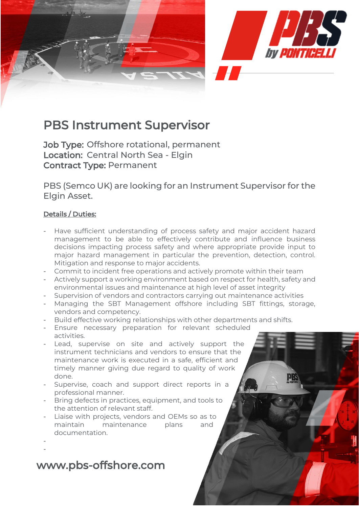

## PBS Instrument Supervisor

Job Type: Offshore rotational, permanent Location: Central North Sea - Elgin Contract Type: Permanent

PBS (Semco UK) are looking for an Instrument Supervisor for the Elgin Asset.

### Details / Duties:

- Have sufficient understanding of process safety and major accident hazard management to be able to effectively contribute and influence business decisions impacting process safety and where appropriate provide input to major hazard management in particular the prevention, detection, control. Mitigation and response to major accidents.
- Commit to incident free operations and actively promote within their team
- Actively support a working environment based on respect for health, safety and environmental issues and maintenance at high level of asset integrity
- Supervision of vendors and contractors carrying out maintenance activities
- Managing the SBT Management offshore including SBT fittings, storage, vendors and competency.
- Build effective working relationships with other departments and shifts.
- Ensure necessary preparation for relevant scheduled activities.
- Lead, supervise on site and actively support the instrument technicians and vendors to ensure that the maintenance work is executed in a safe, efficient and timely manner giving due regard to quality of work done.
- Supervise, coach and support direct reports in a professional manner.
- Bring defects in practices, equipment, and tools to the attention of relevant staff.
- Liaise with projects, vendors and OEMs so as to maintain maintenance plans and documentation.
- -

# www.pbs-offshore.com